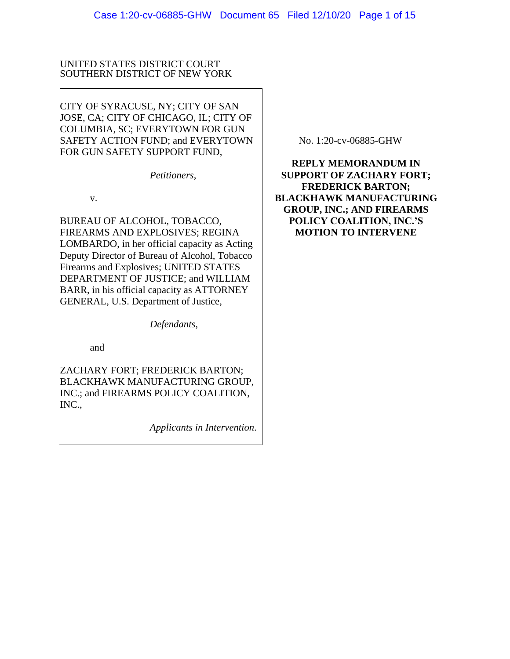### UNITED STATES DISTRICT COURT SOUTHERN DISTRICT OF NEW YORK

CITY OF SYRACUSE, NY; CITY OF SAN JOSE, CA; CITY OF CHICAGO, IL; CITY OF COLUMBIA, SC; EVERYTOWN FOR GUN SAFETY ACTION FUND; and EVERYTOWN FOR GUN SAFETY SUPPORT FUND,

*Petitioners*,

v.

BUREAU OF ALCOHOL, TOBACCO, FIREARMS AND EXPLOSIVES; REGINA LOMBARDO, in her official capacity as Acting Deputy Director of Bureau of Alcohol, Tobacco Firearms and Explosives; UNITED STATES DEPARTMENT OF JUSTICE; and WILLIAM BARR, in his official capacity as ATTORNEY GENERAL, U.S. Department of Justice,

*Defendants*,

and

ZACHARY FORT; FREDERICK BARTON; BLACKHAWK MANUFACTURING GROUP, INC.; and FIREARMS POLICY COALITION, INC.,

*Applicants in Intervention*.

No. 1:20-cv-06885-GHW

**REPLY MEMORANDUM IN SUPPORT OF ZACHARY FORT; FREDERICK BARTON; BLACKHAWK MANUFACTURING GROUP, INC.; AND FIREARMS POLICY COALITION, INC.'S MOTION TO INTERVENE**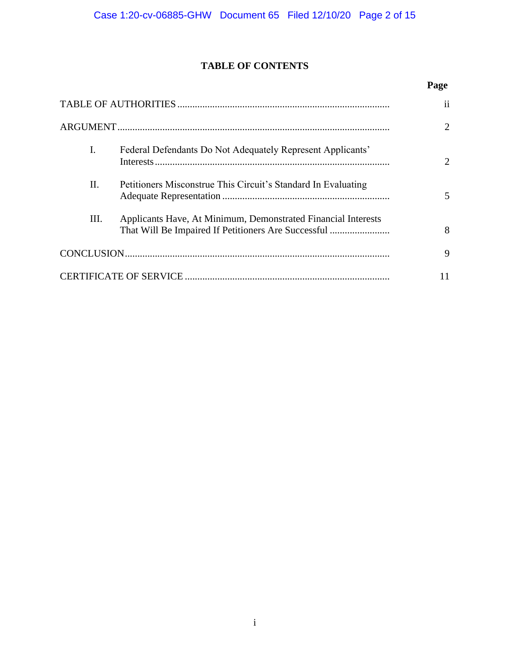# **TABLE OF CONTENTS**

# **Page**

|                                                                       | ii                    |
|-----------------------------------------------------------------------|-----------------------|
|                                                                       | $\mathcal{D}_{\cdot}$ |
| I.<br>Federal Defendants Do Not Adequately Represent Applicants'      | 2                     |
| II.<br>Petitioners Misconstrue This Circuit's Standard In Evaluating  | 5                     |
| III.<br>Applicants Have, At Minimum, Demonstrated Financial Interests | 8                     |
|                                                                       | 9                     |
|                                                                       |                       |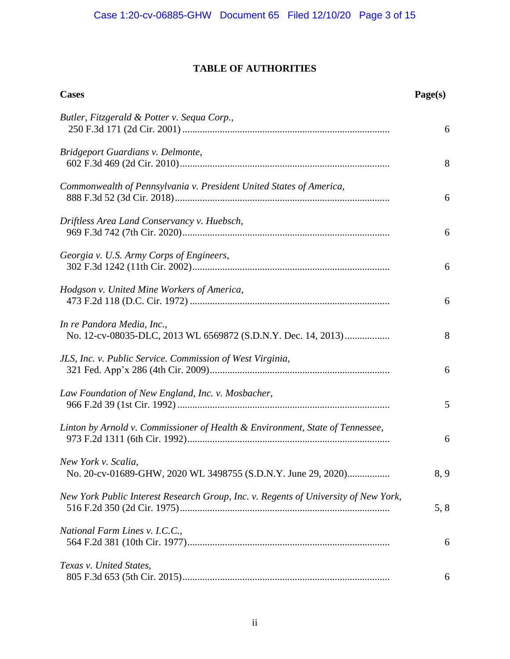# **TABLE OF AUTHORITIES**

| <b>Cases</b>                                                                                | Page(s) |
|---------------------------------------------------------------------------------------------|---------|
| Butler, Fitzgerald & Potter v. Sequa Corp.,                                                 | 6       |
| Bridgeport Guardians v. Delmonte,                                                           | 8       |
| Commonwealth of Pennsylvania v. President United States of America,                         | 6       |
| Driftless Area Land Conservancy v. Huebsch,                                                 | 6       |
| Georgia v. U.S. Army Corps of Engineers,                                                    | 6       |
| Hodgson v. United Mine Workers of America,                                                  | 6       |
| In re Pandora Media, Inc.,<br>No. 12-cv-08035-DLC, 2013 WL 6569872 (S.D.N.Y. Dec. 14, 2013) | 8       |
| JLS, Inc. v. Public Service. Commission of West Virginia,                                   | 6       |
| Law Foundation of New England, Inc. v. Mosbacher,                                           | 5       |
| Linton by Arnold v. Commissioner of Health & Environment, State of Tennessee,               | 6       |
| New York v. Scalia,<br>No. 20-cv-01689-GHW, 2020 WL 3498755 (S.D.N.Y. June 29, 2020)        | 8, 9    |
| New York Public Interest Research Group, Inc. v. Regents of University of New York,         | 5, 8    |
| National Farm Lines v. I.C.C.,                                                              | 6       |
| Texas v. United States,                                                                     | 6       |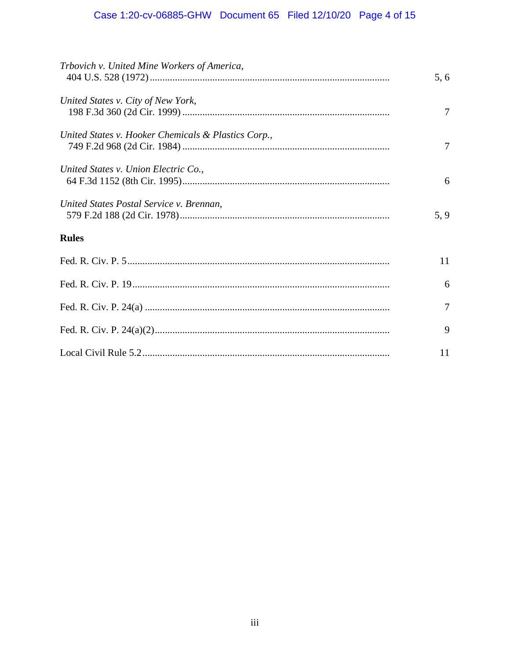# Case 1:20-cv-06885-GHW Document 65 Filed 12/10/20 Page 4 of 15

| Trbovich v. United Mine Workers of America,         | 5, 6           |
|-----------------------------------------------------|----------------|
| United States v. City of New York,                  | $\overline{7}$ |
| United States v. Hooker Chemicals & Plastics Corp., | 7              |
| United States v. Union Electric Co.,                | 6              |
| United States Postal Service v. Brennan,            | 5, 9           |
| <b>Rules</b>                                        |                |
|                                                     | 11             |
|                                                     | 6              |
|                                                     | 7              |
|                                                     | 9              |
|                                                     | 11             |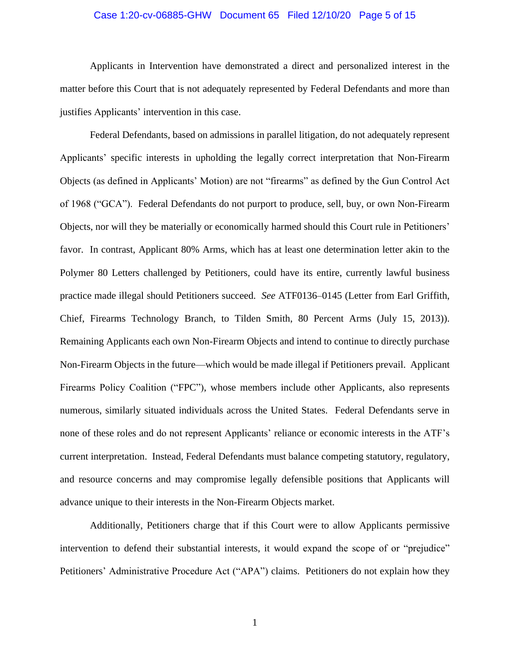#### Case 1:20-cv-06885-GHW Document 65 Filed 12/10/20 Page 5 of 15

Applicants in Intervention have demonstrated a direct and personalized interest in the matter before this Court that is not adequately represented by Federal Defendants and more than justifies Applicants' intervention in this case.

Federal Defendants, based on admissions in parallel litigation, do not adequately represent Applicants' specific interests in upholding the legally correct interpretation that Non-Firearm Objects (as defined in Applicants' Motion) are not "firearms" as defined by the Gun Control Act of 1968 ("GCA"). Federal Defendants do not purport to produce, sell, buy, or own Non-Firearm Objects, nor will they be materially or economically harmed should this Court rule in Petitioners' favor. In contrast, Applicant 80% Arms, which has at least one determination letter akin to the Polymer 80 Letters challenged by Petitioners, could have its entire, currently lawful business practice made illegal should Petitioners succeed. *See* ATF0136–0145 (Letter from Earl Griffith, Chief, Firearms Technology Branch, to Tilden Smith, 80 Percent Arms (July 15, 2013)). Remaining Applicants each own Non-Firearm Objects and intend to continue to directly purchase Non-Firearm Objects in the future—which would be made illegal if Petitioners prevail. Applicant Firearms Policy Coalition ("FPC"), whose members include other Applicants, also represents numerous, similarly situated individuals across the United States. Federal Defendants serve in none of these roles and do not represent Applicants' reliance or economic interests in the ATF's current interpretation. Instead, Federal Defendants must balance competing statutory, regulatory, and resource concerns and may compromise legally defensible positions that Applicants will advance unique to their interests in the Non-Firearm Objects market.

Additionally, Petitioners charge that if this Court were to allow Applicants permissive intervention to defend their substantial interests, it would expand the scope of or "prejudice" Petitioners' Administrative Procedure Act ("APA") claims. Petitioners do not explain how they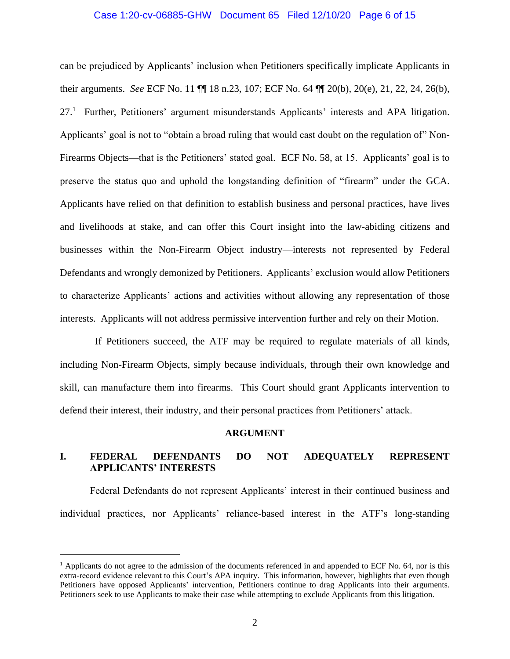#### Case 1:20-cv-06885-GHW Document 65 Filed 12/10/20 Page 6 of 15

can be prejudiced by Applicants' inclusion when Petitioners specifically implicate Applicants in their arguments. *See* ECF No. 11 ¶¶ 18 n.23, 107; ECF No. 64 ¶¶ 20(b), 20(e), 21, 22, 24, 26(b), 27.<sup>1</sup> Further, Petitioners' argument misunderstands Applicants' interests and APA litigation. Applicants' goal is not to "obtain a broad ruling that would cast doubt on the regulation of" Non-Firearms Objects—that is the Petitioners' stated goal. ECF No. 58, at 15. Applicants' goal is to preserve the status quo and uphold the longstanding definition of "firearm" under the GCA. Applicants have relied on that definition to establish business and personal practices, have lives and livelihoods at stake, and can offer this Court insight into the law-abiding citizens and businesses within the Non-Firearm Object industry—interests not represented by Federal Defendants and wrongly demonized by Petitioners. Applicants' exclusion would allow Petitioners to characterize Applicants' actions and activities without allowing any representation of those interests. Applicants will not address permissive intervention further and rely on their Motion.

If Petitioners succeed, the ATF may be required to regulate materials of all kinds, including Non-Firearm Objects, simply because individuals, through their own knowledge and skill, can manufacture them into firearms. This Court should grant Applicants intervention to defend their interest, their industry, and their personal practices from Petitioners' attack.

#### **ARGUMENT**

## **I. FEDERAL DEFENDANTS DO NOT ADEQUATELY REPRESENT APPLICANTS' INTERESTS**

Federal Defendants do not represent Applicants' interest in their continued business and individual practices, nor Applicants' reliance-based interest in the ATF's long-standing

 $<sup>1</sup>$  Applicants do not agree to the admission of the documents referenced in and appended to ECF No. 64, nor is this</sup> extra-record evidence relevant to this Court's APA inquiry. This information, however, highlights that even though Petitioners have opposed Applicants' intervention, Petitioners continue to drag Applicants into their arguments. Petitioners seek to use Applicants to make their case while attempting to exclude Applicants from this litigation.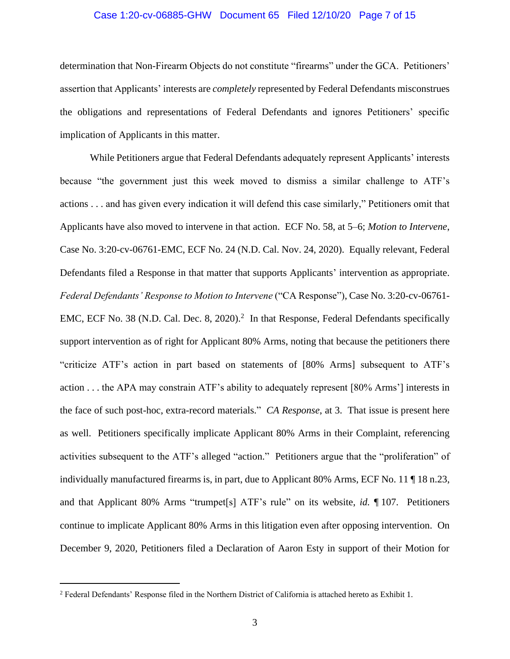#### Case 1:20-cv-06885-GHW Document 65 Filed 12/10/20 Page 7 of 15

determination that Non-Firearm Objects do not constitute "firearms" under the GCA. Petitioners' assertion that Applicants' interests are *completely* represented by Federal Defendants misconstrues the obligations and representations of Federal Defendants and ignores Petitioners' specific implication of Applicants in this matter.

While Petitioners argue that Federal Defendants adequately represent Applicants' interests because "the government just this week moved to dismiss a similar challenge to ATF's actions . . . and has given every indication it will defend this case similarly," Petitioners omit that Applicants have also moved to intervene in that action. ECF No. 58, at 5–6; *Motion to Intervene*, Case No. 3:20-cv-06761-EMC, ECF No. 24 (N.D. Cal. Nov. 24, 2020). Equally relevant, Federal Defendants filed a Response in that matter that supports Applicants' intervention as appropriate. *Federal Defendants' Response to Motion to Intervene* ("CA Response"), Case No. 3:20-cv-06761- EMC, ECF No. 38 (N.D. Cal. Dec. 8, 2020).<sup>2</sup> In that Response, Federal Defendants specifically support intervention as of right for Applicant 80% Arms, noting that because the petitioners there "criticize ATF's action in part based on statements of [80% Arms] subsequent to ATF's action . . . the APA may constrain ATF's ability to adequately represent [80% Arms'] interests in the face of such post-hoc, extra-record materials." *CA Response*, at 3. That issue is present here as well. Petitioners specifically implicate Applicant 80% Arms in their Complaint, referencing activities subsequent to the ATF's alleged "action." Petitioners argue that the "proliferation" of individually manufactured firearms is, in part, due to Applicant 80% Arms, ECF No. 11 ¶ 18 n.23, and that Applicant 80% Arms "trumpet[s] ATF's rule" on its website, *id.* ¶ 107. Petitioners continue to implicate Applicant 80% Arms in this litigation even after opposing intervention. On December 9, 2020, Petitioners filed a Declaration of Aaron Esty in support of their Motion for

<sup>2</sup> Federal Defendants' Response filed in the Northern District of California is attached hereto as Exhibit 1.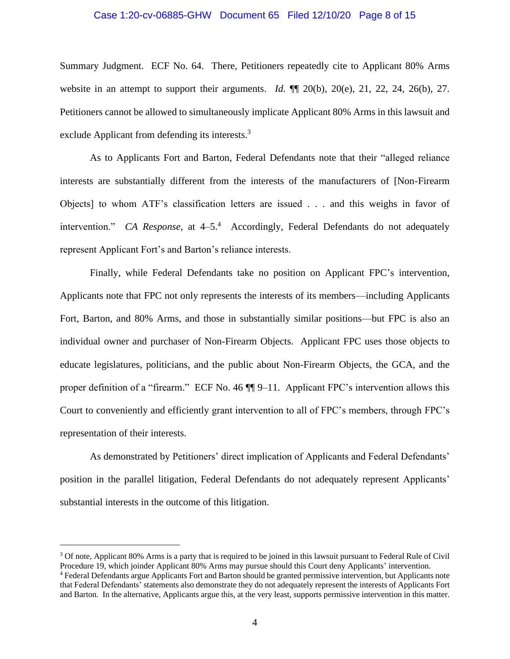#### Case 1:20-cv-06885-GHW Document 65 Filed 12/10/20 Page 8 of 15

Summary Judgment. ECF No. 64. There, Petitioners repeatedly cite to Applicant 80% Arms website in an attempt to support their arguments. *Id.* ¶¶ 20(b), 20(e), 21, 22, 24, 26(b), 27. Petitioners cannot be allowed to simultaneously implicate Applicant 80% Arms in this lawsuit and exclude Applicant from defending its interests.<sup>3</sup>

As to Applicants Fort and Barton, Federal Defendants note that their "alleged reliance interests are substantially different from the interests of the manufacturers of [Non-Firearm Objects] to whom ATF's classification letters are issued . . . and this weighs in favor of intervention." *CA Response*, at 4–5.<sup>4</sup> Accordingly, Federal Defendants do not adequately represent Applicant Fort's and Barton's reliance interests.

Finally, while Federal Defendants take no position on Applicant FPC's intervention, Applicants note that FPC not only represents the interests of its members—including Applicants Fort, Barton, and 80% Arms, and those in substantially similar positions—but FPC is also an individual owner and purchaser of Non-Firearm Objects. Applicant FPC uses those objects to educate legislatures, politicians, and the public about Non-Firearm Objects, the GCA, and the proper definition of a "firearm." ECF No. 46 ¶¶ 9–11. Applicant FPC's intervention allows this Court to conveniently and efficiently grant intervention to all of FPC's members, through FPC's representation of their interests.

As demonstrated by Petitioners' direct implication of Applicants and Federal Defendants' position in the parallel litigation, Federal Defendants do not adequately represent Applicants' substantial interests in the outcome of this litigation.

<sup>&</sup>lt;sup>3</sup> Of note, Applicant 80% Arms is a party that is required to be joined in this lawsuit pursuant to Federal Rule of Civil Procedure 19, which joinder Applicant 80% Arms may pursue should this Court deny Applicants' intervention.

<sup>4</sup> Federal Defendants argue Applicants Fort and Barton should be granted permissive intervention, but Applicants note that Federal Defendants' statements also demonstrate they do not adequately represent the interests of Applicants Fort and Barton. In the alternative, Applicants argue this, at the very least, supports permissive intervention in this matter.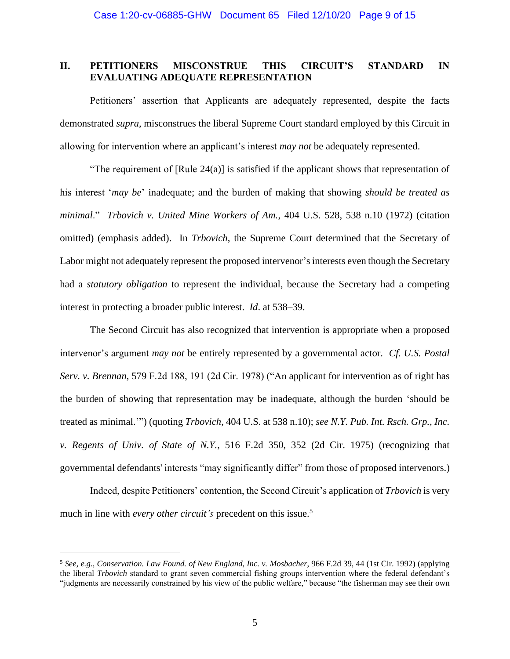## **II. PETITIONERS MISCONSTRUE THIS CIRCUIT'S STANDARD IN EVALUATING ADEQUATE REPRESENTATION**

Petitioners' assertion that Applicants are adequately represented, despite the facts demonstrated *supra*, misconstrues the liberal Supreme Court standard employed by this Circuit in allowing for intervention where an applicant's interest *may not* be adequately represented.

"The requirement of [Rule 24(a)] is satisfied if the applicant shows that representation of his interest '*may be*' inadequate; and the burden of making that showing *should be treated as minimal*." *Trbovich v. United Mine Workers of Am.*, 404 U.S. 528, 538 n.10 (1972) (citation omitted) (emphasis added). In *Trbovich*, the Supreme Court determined that the Secretary of Labor might not adequately represent the proposed intervenor's interests even though the Secretary had a *statutory obligation* to represent the individual, because the Secretary had a competing interest in protecting a broader public interest. *Id*. at 538–39.

The Second Circuit has also recognized that intervention is appropriate when a proposed intervenor's argument *may not* be entirely represented by a governmental actor. *Cf. U.S. Postal Serv. v. Brennan*, 579 F.2d 188, 191 (2d Cir. 1978) ("An applicant for intervention as of right has the burden of showing that representation may be inadequate, although the burden 'should be treated as minimal.'") (quoting *Trbovich*, 404 U.S. at 538 n.10); *see N.Y. Pub. Int. Rsch. Grp., Inc. v. Regents of Univ. of State of N.Y.*, 516 F.2d 350, 352 (2d Cir. 1975) (recognizing that governmental defendants' interests "may significantly differ" from those of proposed intervenors.)

Indeed, despite Petitioners' contention, the Second Circuit's application of *Trbovich* is very much in line with *every other circuit's* precedent on this issue. 5

<sup>5</sup> *See, e.g., Conservation. Law Found. of New England, Inc. v. Mosbacher*, 966 F.2d 39, 44 (1st Cir. 1992) (applying the liberal *Trbovich* standard to grant seven commercial fishing groups intervention where the federal defendant's "judgments are necessarily constrained by his view of the public welfare," because "the fisherman may see their own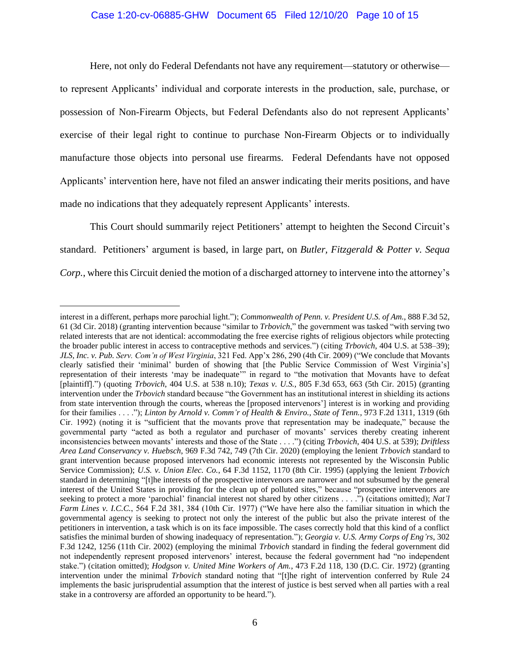#### Case 1:20-cv-06885-GHW Document 65 Filed 12/10/20 Page 10 of 15

Here, not only do Federal Defendants not have any requirement—statutory or otherwise to represent Applicants' individual and corporate interests in the production, sale, purchase, or possession of Non-Firearm Objects, but Federal Defendants also do not represent Applicants' exercise of their legal right to continue to purchase Non-Firearm Objects or to individually manufacture those objects into personal use firearms. Federal Defendants have not opposed Applicants' intervention here, have not filed an answer indicating their merits positions, and have made no indications that they adequately represent Applicants' interests.

This Court should summarily reject Petitioners' attempt to heighten the Second Circuit's standard. Petitioners' argument is based, in large part, on *Butler, Fitzgerald & Potter v. Sequa Corp.*, where this Circuit denied the motion of a discharged attorney to intervene into the attorney's

interest in a different, perhaps more parochial light."); *Commonwealth of Penn. v. President U.S. of Am.*, 888 F.3d 52, 61 (3d Cir. 2018) (granting intervention because "similar to *Trbovich*," the government was tasked "with serving two related interests that are not identical: accommodating the free exercise rights of religious objectors while protecting the broader public interest in access to contraceptive methods and services.") (citing *Trbovich*, 404 U.S. at 538–39); *JLS, Inc. v. Pub. Serv. Com'n of West Virginia*, 321 Fed. App'x 286, 290 (4th Cir. 2009) ("We conclude that Movants clearly satisfied their 'minimal' burden of showing that [the Public Service Commission of West Virginia's] representation of their interests 'may be inadequate'" in regard to "the motivation that Movants have to defeat [plaintiff].") (quoting *Trbovich*, 404 U.S. at 538 n.10); *Texas v. U.S.*, 805 F.3d 653, 663 (5th Cir. 2015) (granting intervention under the *Trbovich* standard because "the Government has an institutional interest in shielding its actions from state intervention through the courts, whereas the [proposed intervenors'] interest is in working and providing for their families . . . ."); *Linton by Arnold v. Comm'r of Health & Enviro., State of Tenn.*, 973 F.2d 1311, 1319 (6th Cir. 1992) (noting it is "sufficient that the movants prove that representation may be inadequate," because the governmental party "acted as both a regulator and purchaser of movants' services thereby creating inherent inconsistencies between movants' interests and those of the State . . . .") (citing *Trbovich*, 404 U.S. at 539); *Driftless Area Land Conservancy v. Huebsch*, 969 F.3d 742, 749 (7th Cir. 2020) (employing the lenient *Trbovich* standard to grant intervention because proposed intervenors had economic interests not represented by the Wisconsin Public Service Commission); *U.S. v. Union Elec. Co.*, 64 F.3d 1152, 1170 (8th Cir. 1995) (applying the lenient *Trbovich* standard in determining "[t]he interests of the prospective intervenors are narrower and not subsumed by the general interest of the United States in providing for the clean up of polluted sites," because "prospective intervenors are seeking to protect a more 'parochial' financial interest not shared by other citizens . . . .") (citations omitted); *Nat'l Farm Lines v. I.C.C.*, 564 F.2d 381, 384 (10th Cir. 1977) ("We have here also the familiar situation in which the governmental agency is seeking to protect not only the interest of the public but also the private interest of the petitioners in intervention, a task which is on its face impossible. The cases correctly hold that this kind of a conflict satisfies the minimal burden of showing inadequacy of representation."); *Georgia v. U.S. Army Corps of Eng'rs*, 302 F.3d 1242, 1256 (11th Cir. 2002) (employing the minimal *Trbovich* standard in finding the federal government did not independently represent proposed intervenors' interest, because the federal government had "no independent stake.") (citation omitted); *Hodgson v. United Mine Workers of Am.*, 473 F.2d 118, 130 (D.C. Cir. 1972) (granting intervention under the minimal *Trbovich* standard noting that "[t]he right of intervention conferred by Rule 24 implements the basic jurisprudential assumption that the interest of justice is best served when all parties with a real stake in a controversy are afforded an opportunity to be heard.").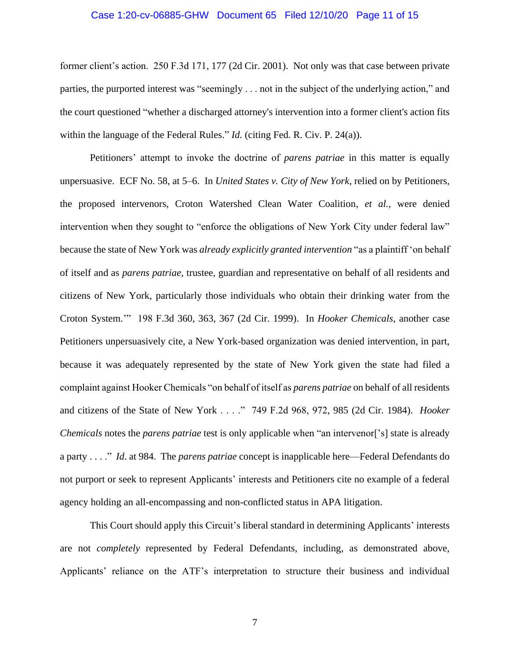#### Case 1:20-cv-06885-GHW Document 65 Filed 12/10/20 Page 11 of 15

former client's action. 250 F.3d 171, 177 (2d Cir. 2001). Not only was that case between private parties, the purported interest was "seemingly . . . not in the subject of the underlying action," and the court questioned "whether a discharged attorney's intervention into a former client's action fits within the language of the Federal Rules." *Id.* (citing Fed. R. Civ. P. 24(a)).

Petitioners' attempt to invoke the doctrine of *parens patriae* in this matter is equally unpersuasive. ECF No. 58, at 5–6. In *United States v. City of New York*, relied on by Petitioners, the proposed intervenors, Croton Watershed Clean Water Coalition, *et al.*, were denied intervention when they sought to "enforce the obligations of New York City under federal law" because the state of New York was *already explicitly granted intervention* "as a plaintiff 'on behalf of itself and as *parens patriae*, trustee, guardian and representative on behalf of all residents and citizens of New York, particularly those individuals who obtain their drinking water from the Croton System.'" 198 F.3d 360, 363, 367 (2d Cir. 1999). In *Hooker Chemicals*, another case Petitioners unpersuasively cite, a New York-based organization was denied intervention, in part, because it was adequately represented by the state of New York given the state had filed a complaint against Hooker Chemicals "on behalf of itself as *parens patriae* on behalf of all residents and citizens of the State of New York . . . ." 749 F.2d 968, 972, 985 (2d Cir. 1984). *Hooker Chemicals* notes the *parens patriae* test is only applicable when "an intervenor['s] state is already a party . . . ." *Id*. at 984. The *parens patriae* concept is inapplicable here—Federal Defendants do not purport or seek to represent Applicants' interests and Petitioners cite no example of a federal agency holding an all-encompassing and non-conflicted status in APA litigation.

This Court should apply this Circuit's liberal standard in determining Applicants' interests are not *completely* represented by Federal Defendants, including, as demonstrated above, Applicants' reliance on the ATF's interpretation to structure their business and individual

7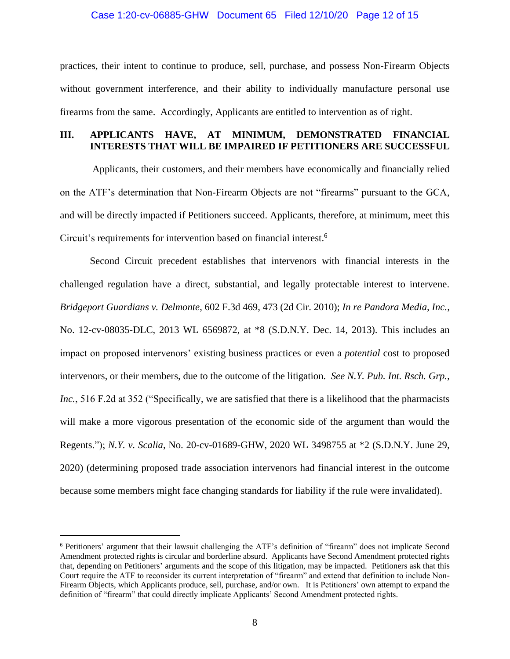#### Case 1:20-cv-06885-GHW Document 65 Filed 12/10/20 Page 12 of 15

practices, their intent to continue to produce, sell, purchase, and possess Non-Firearm Objects without government interference, and their ability to individually manufacture personal use firearms from the same. Accordingly, Applicants are entitled to intervention as of right.

## **III. APPLICANTS HAVE, AT MINIMUM, DEMONSTRATED FINANCIAL INTERESTS THAT WILL BE IMPAIRED IF PETITIONERS ARE SUCCESSFUL**

Applicants, their customers, and their members have economically and financially relied on the ATF's determination that Non-Firearm Objects are not "firearms" pursuant to the GCA, and will be directly impacted if Petitioners succeed. Applicants, therefore, at minimum, meet this Circuit's requirements for intervention based on financial interest. 6

Second Circuit precedent establishes that intervenors with financial interests in the challenged regulation have a direct, substantial, and legally protectable interest to intervene. *Bridgeport Guardians v. Delmonte*, 602 F.3d 469, 473 (2d Cir. 2010); *In re Pandora Media, Inc.*, No. 12-cv-08035-DLC, 2013 WL 6569872, at \*8 (S.D.N.Y. Dec. 14, 2013). This includes an impact on proposed intervenors' existing business practices or even a *potential* cost to proposed intervenors, or their members, due to the outcome of the litigation. *See N.Y. Pub. Int. Rsch. Grp., Inc.*, 516 F.2d at 352 ("Specifically, we are satisfied that there is a likelihood that the pharmacists will make a more vigorous presentation of the economic side of the argument than would the Regents."); *N.Y. v. Scalia*, No. 20-cv-01689-GHW, 2020 WL 3498755 at \*2 (S.D.N.Y. June 29, 2020) (determining proposed trade association intervenors had financial interest in the outcome because some members might face changing standards for liability if the rule were invalidated).

<sup>6</sup> Petitioners' argument that their lawsuit challenging the ATF's definition of "firearm" does not implicate Second Amendment protected rights is circular and borderline absurd. Applicants have Second Amendment protected rights that, depending on Petitioners' arguments and the scope of this litigation, may be impacted. Petitioners ask that this Court require the ATF to reconsider its current interpretation of "firearm" and extend that definition to include Non-Firearm Objects, which Applicants produce, sell, purchase, and/or own. It is Petitioners' own attempt to expand the definition of "firearm" that could directly implicate Applicants' Second Amendment protected rights.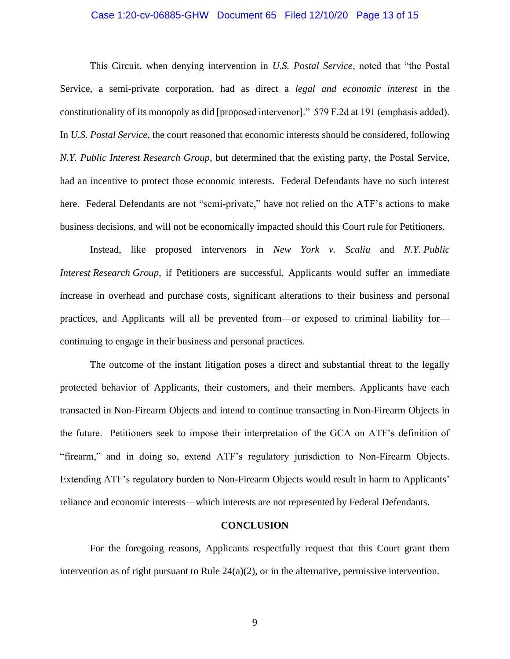#### Case 1:20-cv-06885-GHW Document 65 Filed 12/10/20 Page 13 of 15

This Circuit, when denying intervention in *U.S. Postal Service*, noted that "the Postal Service, a semi-private corporation, had as direct a *legal and economic interest* in the constitutionality of its monopoly as did [proposed intervenor]." 579 F.2d at 191 (emphasis added). In *U.S. Postal Service*, the court reasoned that economic interests should be considered, following *N.Y. Public Interest Research Group*, but determined that the existing party, the Postal Service, had an incentive to protect those economic interests. Federal Defendants have no such interest here. Federal Defendants are not "semi-private," have not relied on the ATF's actions to make business decisions, and will not be economically impacted should this Court rule for Petitioners.

Instead, like proposed intervenors in *New York v. Scalia* and *N.Y. Public Interest Research Group*, if Petitioners are successful, Applicants would suffer an immediate increase in overhead and purchase costs, significant alterations to their business and personal practices, and Applicants will all be prevented from—or exposed to criminal liability for continuing to engage in their business and personal practices.

The outcome of the instant litigation poses a direct and substantial threat to the legally protected behavior of Applicants, their customers, and their members. Applicants have each transacted in Non-Firearm Objects and intend to continue transacting in Non-Firearm Objects in the future. Petitioners seek to impose their interpretation of the GCA on ATF's definition of "firearm," and in doing so, extend ATF's regulatory jurisdiction to Non-Firearm Objects. Extending ATF's regulatory burden to Non-Firearm Objects would result in harm to Applicants' reliance and economic interests—which interests are not represented by Federal Defendants.

#### **CONCLUSION**

For the foregoing reasons, Applicants respectfully request that this Court grant them intervention as of right pursuant to Rule 24(a)(2), or in the alternative, permissive intervention.

9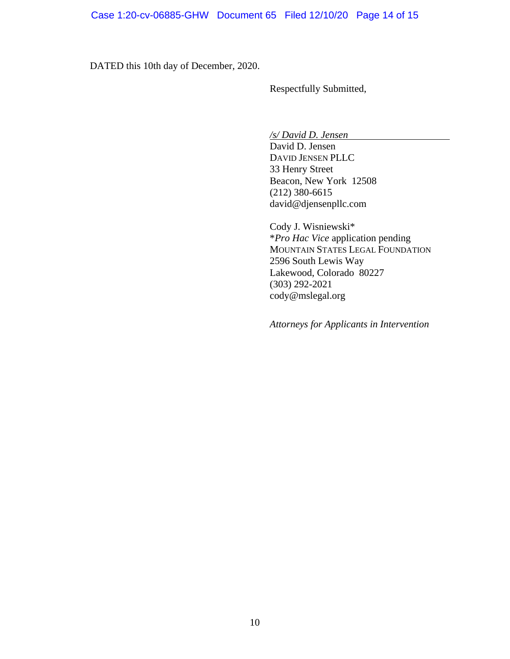DATED this 10th day of December, 2020.

Respectfully Submitted,

*/s/ David D. Jensen*

David D. Jensen DAVID JENSEN PLLC 33 Henry Street Beacon, New York 12508 (212) 380-6615 david@djensenpllc.com

Cody J. Wisniewski\* \**Pro Hac Vice* application pending MOUNTAIN STATES LEGAL FOUNDATION 2596 South Lewis Way Lakewood, Colorado 80227 (303) 292-2021 cody@mslegal.org

*Attorneys for Applicants in Intervention*